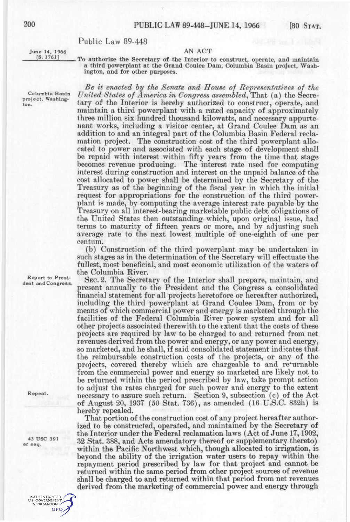# Public Law 89-448

June 14, 1966 <br>
[S. 1761] The exthesize the Secretary of the Interior is

To authorize the Secretary of the Interior to construct, operate, and maintain a third powerplant at the Grand Coulee Dam, Columbia Basin project, Washington, and for other purposes.

*Be it enacted hy the Senate and House of Refresentatives of the*  Columbia Basin United States of America in Congress assembled, That (a) the Secreporoget, was major than  $\frac{1}{2}$  interverse of the Interior is hereby authorized to construct, operate, and maintain a third powerplant with a rated capacity of approximately three million six hundred thousand kilowatts, and necessary appurtenant works, including a visitor center, at Grand Coulee Dam as an addition to and an integral part of the Columbia Basin Federal reclamation project. The construction cost of the third powerplant allocated to power and associated with each stage of development shall be repaid with interest within fifty years from the time that stage becomes revenue producing. The interest rate used for computing interest during construction and interest on the unpaid balance of the cost allocated to power shall be determined by the Secretary of the Treasury as of the beginning of the fiscal year in which the initial request for appropriations for the construction of the third powerplant is made, by computing the average interest rate payable by the Treasury on all interest-bearing marketable public debt obligations of the United States then outstanding, which, upon original issue, had terms to maturity of fifteen years or more, and by adjusting such average rate to the next lowest multiple of one-eighth of one per centum.

> (b) Construction of the third powerplant may be undertaken in such stages as in the determination of the Secretary will effectuate the fullest, most beneficial, and most economic utilization of the waters of the Columbia River,

*A*<sup>P</sup><sup>Poort to Presi-<br> *A*<sup>*A*</sup><sup>*President and Congress.</sup>* SEC. 2. The Secretary of the Interior shall prepare, maintain, and</sup></sup> present annually to the President and the Congress a consolidated financial statement for all projects heretofore or hereafter authorized, including the third powerplant at Grand Coulee Dam, from or by means of which commercial power and energy is marketed through the facilities of the Federal Columbia River power system and for all other projects associated therewith to the extent that the costs of these projects are required by law to be charged to and returned from net revenues derived from the power and energy, or any power and energy, so marketed, and he shall, if said consolidated statement indicates that the reimbursable construction costs of the projects, or any of the projects, covered thereby which are chargeable to and re'urnable from the commercial power and energy so marketed are likely not to be returned within the period prescribed by law, take prompt action to adjust the rates charged for such power and energy to the extent necessary to assure such return. Section 9, subsection  $(c)$  of the Act  $\alpha$ <sup>8</sup> necessary to assure such return. Section 9, subsection (c) of the Actor of August 20, 1937 (50 Stat. 736), as amended (16 U.S.C. 832h) is hereby repealed.<br>That portion of the construction cost of any project hereafter author-

ized to be constructed, operated, and maintained by the Secretary of the Interior under the Federal reclamation laws (Act of June  $17,1902$ , 32 Stat. 388, and Acts amendatory thereof or supplementary thereto) within the Pacific Northwest which, though allocated to irrigation, is beyond the ability of the irrigation water users to repay within the repayment period prescribed by law for that project and cannot be returned within the same period from other project sources of revenue shall be charged to and returned within that period from net revenues shall be charged to and returned within that period from net revenues derived from the marketing of commercial power and energy through

Repeal.

43 USC 391 *et seq.* 

> AUTHENTICATED U.S. GOVERNMENT **GPO**